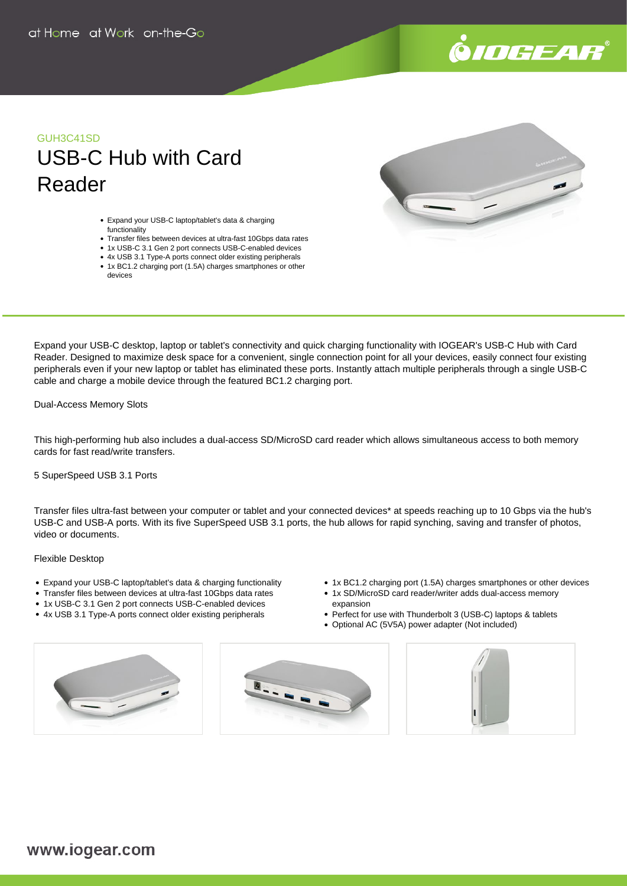

# GUH3C41SD USB-C Hub with Card Reader

- Expand your USB-C laptop/tablet's data & charging functionality
- Transfer files between devices at ultra-fast 10Gbps data rates
- 1x USB-C 3.1 Gen 2 port connects USB-C-enabled devices
- 4x USB 3.1 Type-A ports connect older existing peripherals
- 1x BC1.2 charging port (1.5A) charges smartphones or other devices

Expand your USB-C desktop, laptop or tablet's connectivity and quick charging functionality with IOGEAR's USB-C Hub with Card Reader. Designed to maximize desk space for a convenient, single connection point for all your devices, easily connect four existing peripherals even if your new laptop or tablet has eliminated these ports. Instantly attach multiple peripherals through a single USB-C cable and charge a mobile device through the featured BC1.2 charging port.

Dual-Access Memory Slots

This high-performing hub also includes a dual-access SD/MicroSD card reader which allows simultaneous access to both memory cards for fast read/write transfers.

### 5 SuperSpeed USB 3.1 Ports

Transfer files ultra-fast between your computer or tablet and your connected devices\* at speeds reaching up to 10 Gbps via the hub's USB-C and USB-A ports. With its five SuperSpeed USB 3.1 ports, the hub allows for rapid synching, saving and transfer of photos, video or documents.

#### Flexible Desktop

- Expand your USB-C laptop/tablet's data & charging functionality
- Transfer files between devices at ultra-fast 10Gbps data rates
- 1x USB-C 3.1 Gen 2 port connects USB-C-enabled devices
- 4x USB 3.1 Type-A ports connect older existing peripherals
- 1x BC1.2 charging port (1.5A) charges smartphones or other devices
- 1x SD/MicroSD card reader/writer adds dual-access memory expansion
- Perfect for use with Thunderbolt 3 (USB-C) laptops & tablets
- Optional AC (5V5A) power adapter (Not included)







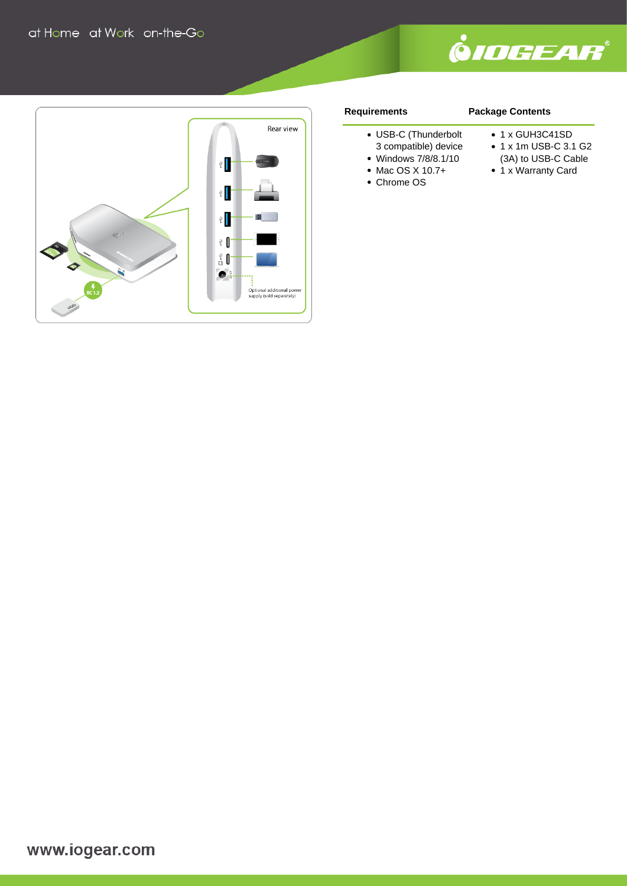



## **Requirements**

# **Package Contents**

- USB-C (Thunderbolt
- 3 compatible) device
- Windows 7/8/8.1/10
- Mac OS X 10.7+
- Chrome OS
- 1 x GUH3C41SD
- 1 x 1m USB-C 3.1 G2
- (3A) to USB-C Cable
- 1 x Warranty Card